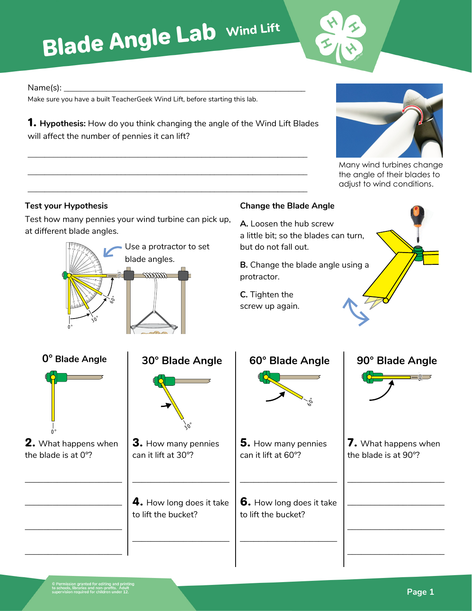## **Blade Angle Lab Wind Lift**



Many wind turbines change the angle of their blades to adjust to wind conditions.

## Name(s): **\_\_\_\_\_\_\_\_\_\_\_\_\_\_\_\_\_\_\_\_\_\_\_\_\_\_\_\_\_\_\_\_\_\_\_\_\_\_\_\_\_\_\_\_\_\_\_\_\_\_\_\_\_\_\_\_\_**

Make sure you have a built TeacherGeek Wind Lift, before starting this lab.

1. **Hypothesis:** How do you think changing the angle of the Wind Lift Blades will affect the number of pennies it can lift?

**\_\_\_\_\_\_\_\_\_\_\_\_\_\_\_\_\_\_\_\_\_\_\_\_\_\_\_\_\_\_\_\_\_\_\_\_\_\_\_\_\_\_\_\_\_\_\_\_\_\_\_\_\_\_\_\_\_\_\_\_\_\_\_\_\_\_**

**\_\_\_\_\_\_\_\_\_\_\_\_\_\_\_\_\_\_\_\_\_\_\_\_\_\_\_\_\_\_\_\_\_\_\_\_\_\_\_\_\_\_\_\_\_\_\_\_\_\_\_\_\_\_\_\_\_\_\_\_\_\_\_\_\_\_**

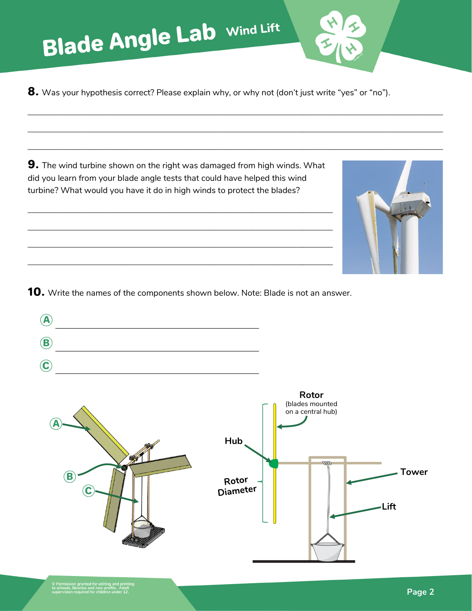**Blade Angle Lab Wind Lift** 

8. Was your hypothesis correct? Please explain why, or why not (don't just write "yes" or "no").

**\_\_\_\_\_\_\_\_\_\_\_\_\_\_\_\_\_\_\_\_\_\_\_\_\_\_\_\_\_\_\_\_\_\_\_\_\_\_\_\_\_\_\_\_\_\_\_\_\_\_\_\_\_\_\_\_\_\_\_\_\_\_\_\_\_\_\_\_\_\_\_\_\_\_\_\_\_\_\_\_\_\_\_\_\_\_\_\_\_\_\_\_\_\_\_\_\_\_**

**\_\_\_\_\_\_\_\_\_\_\_\_\_\_\_\_\_\_\_\_\_\_\_\_\_\_\_\_\_\_\_\_\_\_\_\_\_\_\_\_\_\_\_\_\_\_\_\_\_\_\_\_\_\_\_\_\_\_\_\_\_\_\_\_\_\_\_\_\_\_\_\_\_\_\_\_\_\_\_\_\_\_\_\_\_\_\_\_\_\_\_\_\_\_\_\_\_\_**

**\_\_\_\_\_\_\_\_\_\_\_\_\_\_\_\_\_\_\_\_\_\_\_\_\_\_\_\_\_\_\_\_\_\_\_\_\_\_\_\_\_\_\_\_\_\_\_\_\_\_\_\_\_\_\_\_\_\_\_\_\_\_\_\_\_\_\_\_\_\_\_\_\_\_\_\_\_\_\_\_\_\_\_\_\_\_\_\_\_\_\_\_\_\_\_\_\_\_**

**9.** The wind turbine shown on the right was damaged from high winds. What did you learn from your blade angle tests that could have helped this wind turbine? What would you have it do in high winds to protect the blades?

**\_\_\_\_\_\_\_\_\_\_\_\_\_\_\_\_\_\_\_\_\_\_\_\_\_\_\_\_\_\_\_\_\_\_\_\_\_\_\_\_\_\_\_\_\_\_\_\_\_\_\_\_\_\_\_\_\_\_\_\_\_\_\_\_\_\_\_\_\_\_\_\_**

**\_\_\_\_\_\_\_\_\_\_\_\_\_\_\_\_\_\_\_\_\_\_\_\_\_\_\_\_\_\_\_\_\_\_\_\_\_\_\_\_\_\_\_\_\_\_\_\_\_\_\_\_\_\_\_\_\_\_\_\_\_\_\_\_\_\_\_\_\_\_\_\_**

**\_\_\_\_\_\_\_\_\_\_\_\_\_\_\_\_\_\_\_\_\_\_\_\_\_\_\_\_\_\_\_\_\_\_\_\_\_\_\_\_\_\_\_\_\_\_\_\_\_\_\_\_\_\_\_\_\_\_\_\_\_\_\_\_\_\_\_\_\_\_\_\_**

**\_\_\_\_\_\_\_\_\_\_\_\_\_\_\_\_\_\_\_\_\_\_\_\_\_\_\_\_\_\_\_\_\_\_\_\_\_\_\_\_\_\_\_\_\_\_\_\_\_\_\_\_\_\_\_\_\_\_\_\_\_\_\_\_\_\_\_\_\_\_\_\_**



**10.** Write the names of the components shown below. Note: Blade is not an answer.